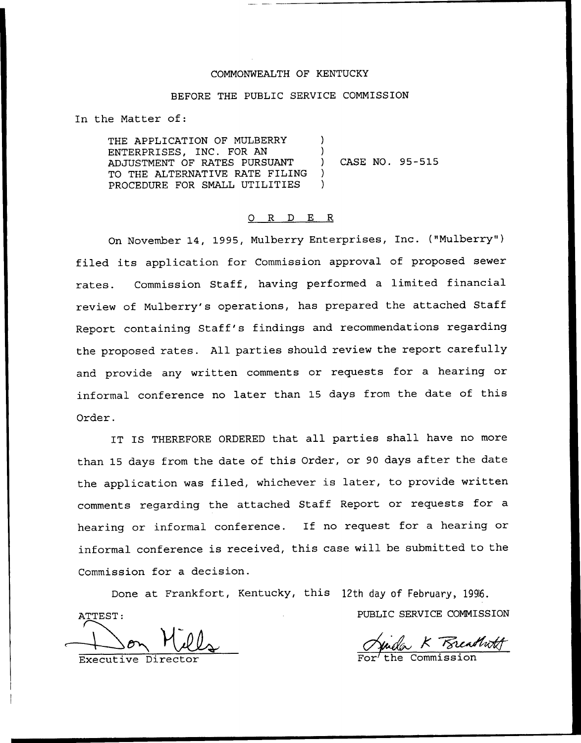## COMMONWEALTH OF KENTUCKY

#### BEFORE THE PUBLIC SERVICE COMMISSION

In the Matter of:

THE APPLICATION OF MULBERRY ENTERPRISES, INC. FOR AN ADJUSTMENT OF RATES PURSUANT TO THE ALTERNATIVE RATE FILING PROCEDURE FOR SMALL UTILITIES ) ) ) CASE NO. 95-515 ) )

#### 0 R <sup>D</sup> E R

On November 14, 1995, Mulberry Enterprises, Inc. ("Mulberry" ) filed its application for Commission approval of proposed sewer rates. Commission Staff, having performed a limited financial review of Mulberry's operations, has prepared the attached Staff Report containing Staff's findings and recommendations regarding the proposed rates. All parties should review the report carefully and provide any written comments or requests for a hearing or informal conference no later than 15 days from the date of this Order.

IT IS THEREFORE ORDERED that all parties shall have no more than 15 days from the date of this Order, or <sup>90</sup> days after the date the application was filed, whichever is later, to provide written comments regarding the attached Staff Report or requests for a hearing or informal conference. If no request for <sup>a</sup> hearing or informal conference is received, this case will be submitted to the Commission for a decision.

Done at Frankfort, Kentucky, this 12th day of February, 1996. ATTEST: PUBLIC SERVICE COMMISSION

Executive Direc

<u>EXECANNOF</u>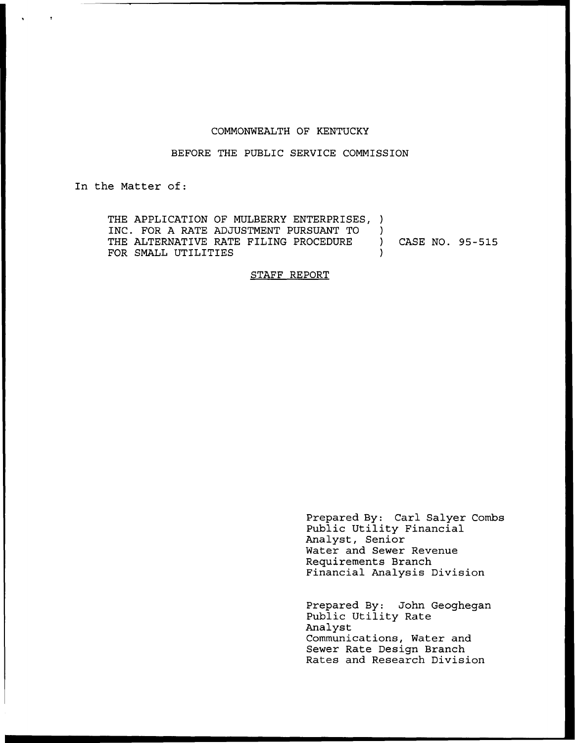#### COMMONWEALTH OF KENTUCKY

#### BEFORE THE PUBLIC SERVICE COMMISSION

In the Matter of:

THE APPLICATION OF MULBERRY ENTERPRISES, )<br>INC. FOR A RATE ADJUSTMENT PURSUANT TO INC. FOR A RATE ADJUSTMENT PURSUANT TO ) THE ALTERNATIVE RATE FILING PROCEDURE ) CASE NO. 95-515 FOR SMALL UTILITIES

#### STAFF REPORT

Prepared By: Carl Salyer Combs Public Utility Financial Analyst, Senior Water and Sewer Revenue Requirements Branch Financial Analysis Division

Prepared By: John Geoghegan Public Utility Rate Analyst Communications, Water and Sewer Rate Design Branch Rates and Research Division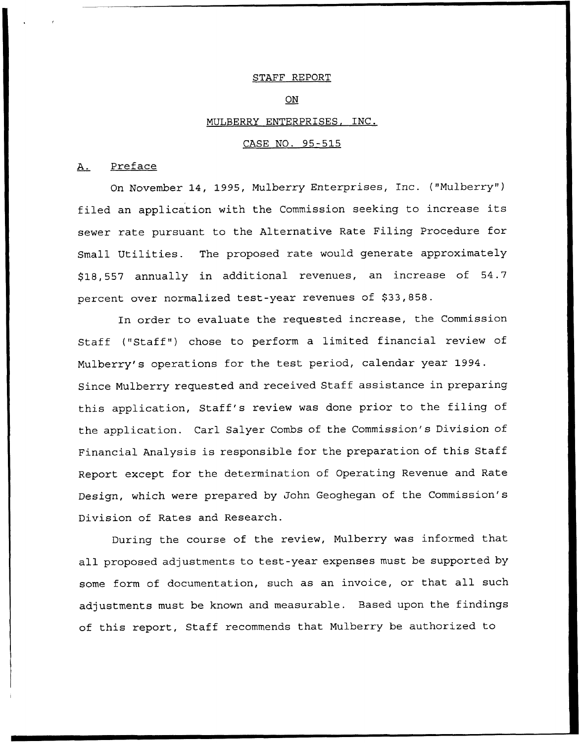#### STAFF REPORT

#### ON

#### MULBERRY ENTERPRISES, INC.

#### CASE NO. 95-515

## A. Preface

On November 14, 1995, Mulberry Enterprises, Inc. ("Mulberry" ) filed an application with the Commission seeking to increase its sewer rate pursuant to the Alternative Rate Filing Procedure for Small Utilities. The proposed rate would generate approximately \$ 18,557 annually in additional revenues, an increase of 54.7 percent over normalized test-year revenues of \$33,858.

In order to evaluate the requested increase, the Commission Staff ("Staff") chose to perform a limited financial review of Mulberry's operations for the test period, calendar year 1994. Since Mulberry requested and received Staff assistance in preparing this application, Staff's review was done prior to the filing of the application. Carl Salyer Combs of the Commission's Division of Financial Analysis is responsible for the preparation of this Staff Report except for the determination of Operating Revenue and Rate Design, which were prepared by John Geoghegan of the Commission's Division of Rates and Research.

During the course of the review, Mulberry was informed that all proposed adjustments to test-year expenses must be supported by some form of documentation, such as an invoice, or that all such adjustments must be known and measurable. Based upon the findings of this report, Staff recommends that Mulberry be authorized to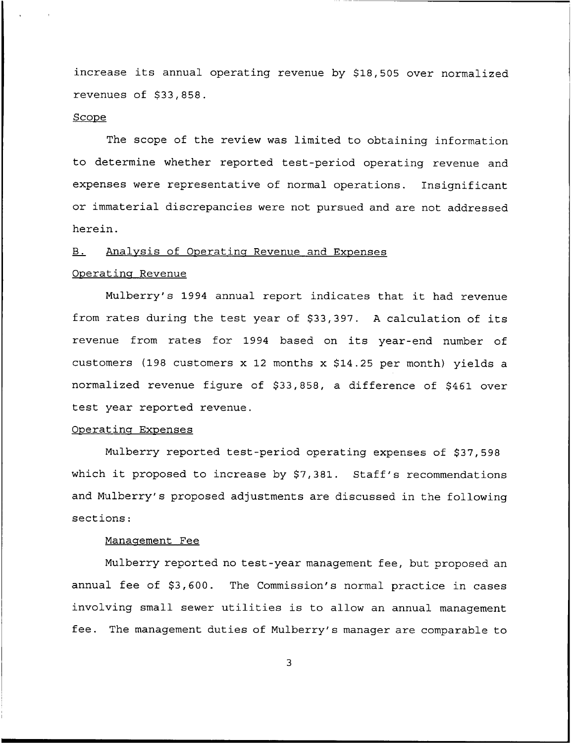increase its annual operating revenue by \$18,505 over normalized revenues of  $$33,858$ .

#### **Scope**

The scope of the review was limited to obtaining information to determine whether reported test-period operating revenue and expenses were representative of normal operations. Insignificant or immaterial discrepancies were not pursued and are not addressed herein.

# B. Analysis of Operating Revenue and Expenses

## Operating Revenue

Mulberry's <sup>1994</sup> annual report indicates that it had revenue from rates during the test year of \$33,397. A calculation of its revenue from rates for 1994 based on its year-end number of customers (198 customers x 12 months x  $$14.25$  per month) yields a normalized revenue figure of \$33,858, a difference of \$461 over test year reported revenue.

## Operating Expenses

Mulberry reported test-period operating expenses of \$37,598 which it proposed to increase by \$7,381. Staff's recommendations and Mulberry's proposed adjustments are discussed in the following sections:

#### Management Fee

Mulberry reported no test-year management fee, but proposed an annual fee of \$3,600. The Commission's normal practice in cases involving small sewer utilities is to allow an annual management fee. The management duties of Mulberry's manager are comparable to

3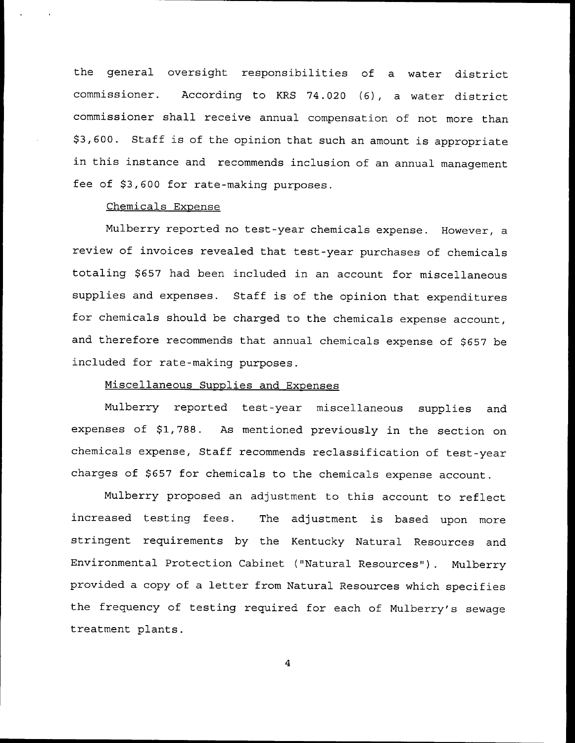the general oversight responsibilities of a water district commissioner. According to KRS 74.020 (6), a water district commissioner shall receive annual compensation of not more than \$ 3,600. Staff is of the opinion that such an amount is appropriate in this instance and recommends inclusion of an annual management fee of \$3,600 for rate-making purposes.

### Chemicals Exoense

Mulberry reported no test-year chemicals expense. However, a review of invoices revealed that test-year purchases of chemicals totaling \$657 had been included in an account for miscellaneous supplies and expenses. Staff is of the opinion that expenditures for chemicals should be charged to the chemicals expense account, and therefore recommends that annual chemicals expense of \$657 be included for rate-making purposes.

## Miscellaneous Supplies and Expenses

Mulberry reported test-year miscellaneous supplies and expenses of \$1,788. As mentioned previously in the section on chemicals expense, Staff recommends reclassification of test-year charges of \$657 for chemicals to the chemicals expense account.

Mulberry proposed an adjustment to this account to reflect increased testing fees. The adjustment is based upon more stringent requirements by the Kentucky Natural Resources and Environmental Protection Cabinet ("Natural Resources" ). Mulberry provided <sup>a</sup> copy of <sup>a</sup> letter from Natural Resources which specifies the frequency of testing required for each of Mulberry's sewage treatment plants.

 $\overline{\mathbf{4}}$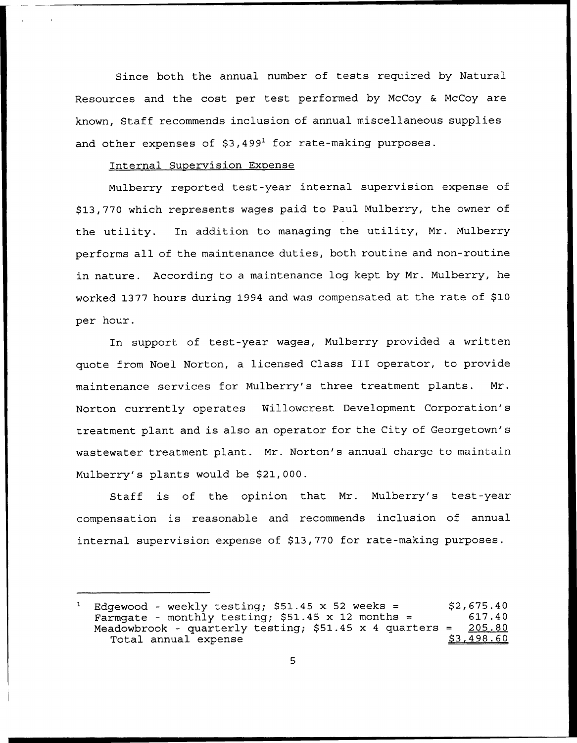Since both the annual number of tests required by Natural Resources and the cost per test performed by McCoy & McCoy are known, Staff recommends inclusion of annual miscellaneous supplies and other expenses of  $$3,499<sup>1</sup>$  for rate-making purposes.

### Internal Supervision Expense

Mulberry reported test-year internal supervision expense of \$ 13,770 which represents wages paid to Paul Mulberry, the owner of the utility. In addition to managing the utility, Mr. Mulberry performs all of the maintenance duties, both routine and non-routine in nature. According to a maintenance log kept by Mr. Mulberry, he worked 1377 hours during 1994 and was compensated at the rate of \$10 per hour.

In support of test-year wages, Mulberry provided a written quote from Noel Norton, <sup>a</sup> licensed Class III operator, to provide maintenance services for Mulberry's three treatment plants. Mr. Norton currently operates Willowcrest Development Corporation's treatment plant and is also an operator for the City of Georgetown's wastewater treatment plant. Mr. Norton's annual charge to maintain Mulberry's plants would be \$21,000.

Staff is of the opinion that Mr. Mulberry's test-year compensation is reasonable and recommends inclusion of annual internal supervision expense of \$13,770 for rate-making purposes.

Edgewood - weekly testing;  $$51.45 \times 52$  weeks =  $$2,675.40$ <br>Farmgate - monthly testing;  $$51.45 \times 12$  months =  $$17.40$ Farmgate - monthly testing;  $$51.45 \times 12$  months = 617.40<br>Meadowbrook - quarterly testing:  $$51.45 \times 4$  quarters = 205.80 Meadowbrook - quarterly testing;  $$51.45 \times 4$  quarters = 205.80<br>Total annual expense  $$3,498.60$ Total annual expense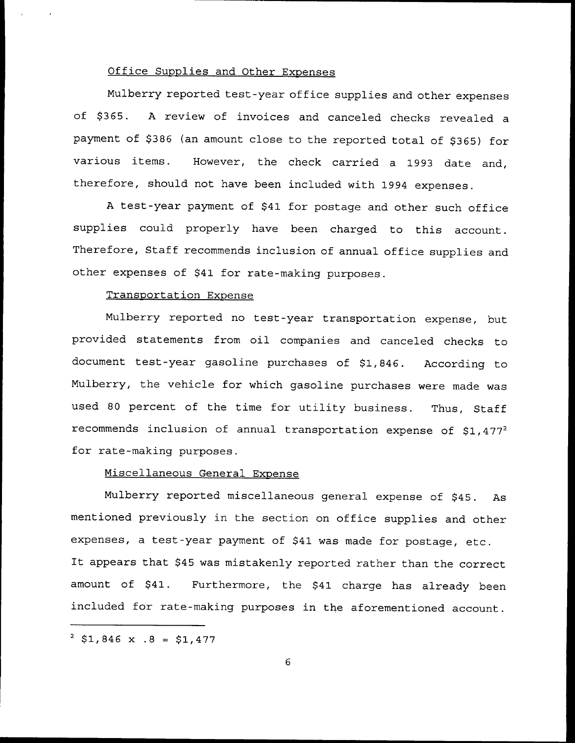### Office Supplies and Other Expenses

Mulberry reported test-year office supplies and other expenses of \$365. A review of invoices and canceled checks revealed a payment of \$386 (an amount close to the reported total of \$365) for various items. However, the check carried a 1993 date and, therefore, should not have been included with 1994 expenses.

A test-year payment of \$41 for postage and other such office supplies could properly have been charged to this account. Therefore, Staff recommends inclusion of annual office supplies and other expenses of \$41 for rate-making purposes.

### Transportation Expense

Mulberry reported no test-year transportation expense, but provided statements from oil companies and canceled checks to document test-year gasoline purchases of \$1,846. According to Mulberry, the vehicle for which gasoline purchases were made was used <sup>80</sup> percent of the time for utility business. Thus, Staff recommends inclusion of annual transportation expense of  $$1,477^2$ for rate-making purposes.

## Miscellaneous General Exoense

Mulberry reported miscellaneous general expense of \$45. As mentioned previously in the section on office supplies and other expenses, a test-year payment of \$41 was made for postage, etc. It appears that \$45 was mistakenly reported rather than the correct amount of \$41. Furthermore, the \$41 charge has already been included for rate-making purposes in the aforementioned account.

 $3 \text{ } $1,846 \text{ x } .8 = $1,477$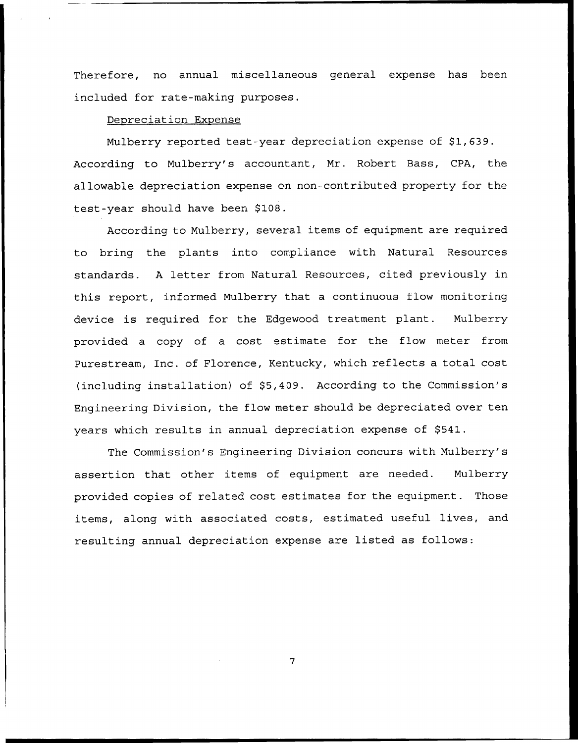Therefore, no annual miscellaneous general expense has been included for rate-making purposes.

## Depreciation Expense

Mulberry reported test-year depreciation expense of \$1,639. According to Mulberry's accountant, Mr. Robert Base, CPA, the allowable depreciation expense on non-contributed property for the test-year should have been \$108.

According to Mulberry, several items of equipment are required to bring the plants into compliance with Natural Resources standards. <sup>A</sup> letter from Natural Resources, cited previously in this report, informed Mulberry that a continuous flow monitoring device is required for the Edgewood treatment plant. Mulberry provided a copy of a cost estimate for the flow meter from Purestream, Inc. of Florence, Kentucky, which reflects a total cost (including installation) of \$5,409. According to the Commission's Engineering Division, the flow meter should be depreciated over ten years which results in annual depreciation expense of \$541.

The Commission's Engineering Division concurs with Mulberry's assertion that other items of equipment are needed. Mulberry provided copies of related cost estimates for the equipment. Those items, along with associated costs, estimated useful lives, and resulting annual depreciation expense are listed as follows:

7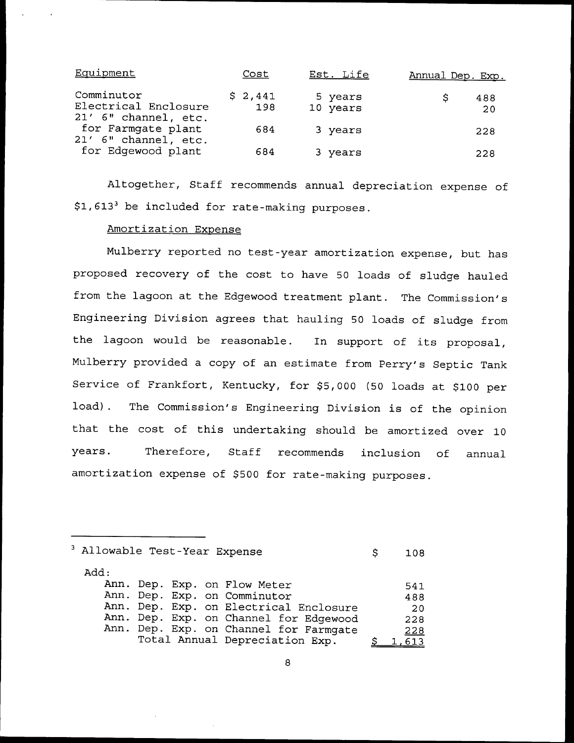| Equipment                                                  | Cost           | Est. Life           | Annual Dep. Exp. |
|------------------------------------------------------------|----------------|---------------------|------------------|
| Comminutor<br>Electrical Enclosure<br>21' 6" channel, etc. | \$2,441<br>198 | 5 years<br>10 years | 488<br>S<br>20   |
| for Farmgate plant<br>21' 6" channel, etc.                 | 684            | 3 years             | 228              |
| for Edgewood plant                                         | 684            | 3 years             | 228              |

Altogether, Staff recommends annual depreciation expense of  $$1,613<sup>3</sup>$  be included for rate-making purposes.

## Amortization Expense

Mulberry reported no test-year amortization expense, but has proposed recovery of the cost to have 50 loads of sludge hauled from the lagoon at the Edgewood treatment plant. The Commission's Engineering Division agrees that hauling 50 loads of sludge from the lagoon would be reasonable. In support of its proposal, Mulberry provided a copy of an estimate from Perry's Septic Tank Service of Frankfort, Kentucky, for \$5,000 (50 loads at \$100 per load). The Commission's Engineering Division is of the opinion that the cost of this undertaking should be amortized over 10 years. Therefore, Staff recommends inclusion of annual amortization expense of \$500 for rate-making purposes.

| Allowable Test-Year Expense | S | 108                                    |  |      |
|-----------------------------|---|----------------------------------------|--|------|
| Add:                        |   |                                        |  |      |
|                             |   | Ann. Dep. Exp. on Flow Meter           |  | 541  |
|                             |   | Ann. Dep. Exp. on Comminutor           |  | 488  |
|                             |   | Ann. Dep. Exp. on Electrical Enclosure |  | -20  |
|                             |   | Ann. Dep. Exp. on Channel for Edgewood |  | 228  |
|                             |   | Ann. Dep. Exp. on Channel for Farmgate |  | 228  |
|                             |   | Total Annual Depreciation Exp.         |  | ,613 |

8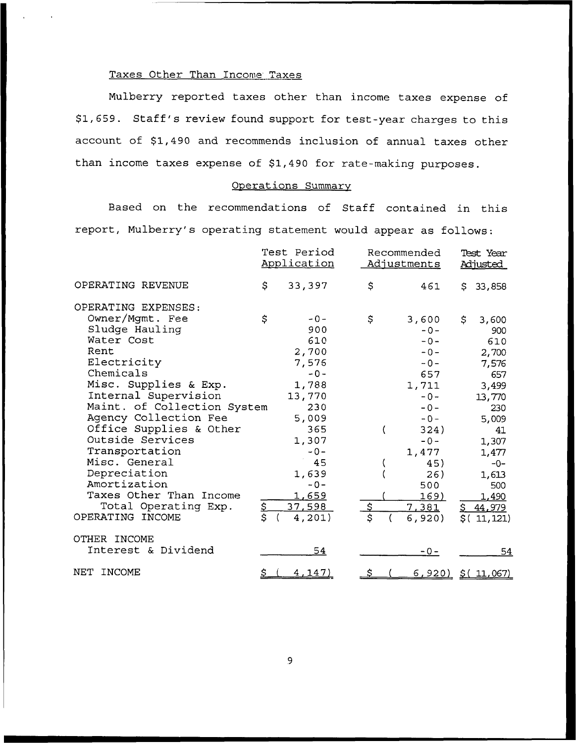## Taxes Other Than Income Taxes

Nulberry reported taxes other than income taxes expense of \$1,659. Staff's review found support for test-year charges to this account of \$1,490 and recommends inclusion of annual taxes other than income taxes expense of \$1,490 for rate-making purposes.

## Operations Summarv

Based on the recommendations of Staff contained in this report, Mulberry's operating statement would appear as follows:

|                             |                | Test Period<br>Application | Recommended<br>Adjustments |               | Test Year<br><u>Adjusted</u> |                   |
|-----------------------------|----------------|----------------------------|----------------------------|---------------|------------------------------|-------------------|
| OPERATING REVENUE           | \$             | 33,397                     | \$                         | 461           | S.                           | 33,858            |
| OPERATING EXPENSES:         |                |                            |                            |               |                              |                   |
| Owner/Mgmt. Fee             | \$             | $-0-$                      | \$                         | 3,600         | \$                           | 3,600             |
| Sludge Hauling              |                | 900                        |                            | $-0-$         |                              | 900               |
| Water Cost                  |                | 610                        |                            | $-0-$         |                              | 610               |
| Rent                        |                | 2,700                      |                            | $-0-$         |                              | 2,700             |
| Electricity                 |                | 7,576                      |                            | $-0-$         |                              | 7,576             |
| Chemicals                   |                | $-0-$                      |                            | 657           |                              | 657               |
| Misc. Supplies & Exp.       |                | 1,788                      |                            | 1,711         |                              | 3,499             |
| Internal Supervision        |                | 13,770                     |                            | $-0-$         |                              | 13,770            |
| Maint. of Collection System |                | 230                        |                            | $-0-$         |                              | 230               |
| Agency Collection Fee       |                | 5,009                      |                            | $-0-$         |                              | 5,009             |
| Office Supplies & Other     |                | 365                        |                            | 324)          |                              | 41                |
| Outside Services            |                | 1,307                      |                            | $-0-$         |                              | 1,307             |
| Transportation              |                | $-0-$                      |                            | 1,477         |                              | 1,477             |
| Misc. General               |                | 45                         |                            | 45)           |                              | $-0-$             |
| Depreciation                |                | 1,639                      |                            | 26)           |                              | 1,613             |
| Amortization                |                | $-0-$                      |                            | 500           |                              | 500               |
| Taxes Other Than Income     |                | <u>1,659</u>               |                            | <u>169)</u>   |                              | 1,490             |
| Total Operating Exp.        | \$             | 37,598                     | $\mathfrak{S}$             | 7,381         | <u>হ</u>                     | <u>44,979</u>     |
| OPERATING INCOME            | $\overline{s}$ | 4,201)                     | \$                         | 6,920         | \$(                          | 11, 121)          |
| OTHER INCOME                |                |                            |                            |               |                              |                   |
| Interest & Dividend         |                | 54                         |                            | $-0-$         |                              | 54                |
| NET<br>INCOME               | <u>\$</u>      | <u>4,147)</u>              | S                          | <u>6,920)</u> |                              | <u>\$(11,067)</u> |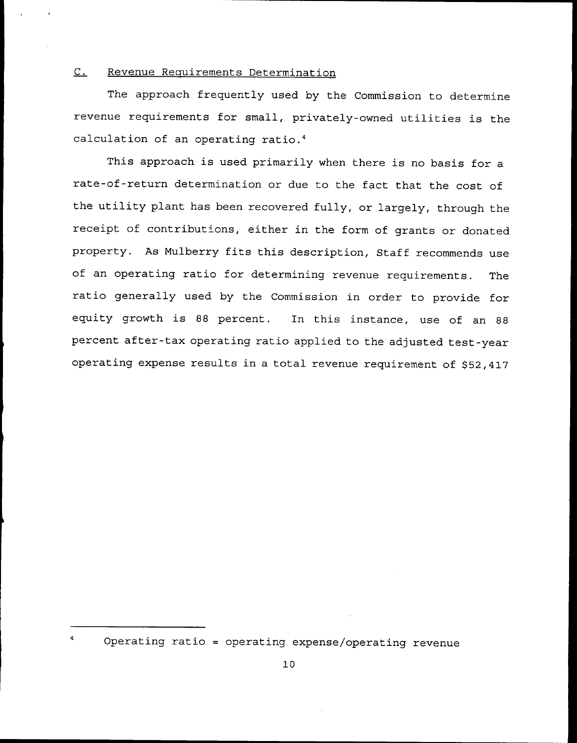## C. Revenue Requirements Determination

The approach frequently used by the Commission to determine revenue requirements for small, privately-owned utilities is the calculation of an operating ratio.4

This approach is used primarily when there is no basis for <sup>a</sup> rate-of-return determination or due to the fact that the cost of the utility plant has been recovered fully, or largely, through the receipt of contribut'ons, either in the form of grants or donated property. As Mulberry fits this description, Staff recommends use of an operating ratio for determining revenue requirements. The ratio generally used by the Commission in order to provide for equity growth is <sup>88</sup> percent. In this instance, use of an <sup>88</sup> percent after-tax operating ratio applied to the adjusted test-year operating expense results in a total revenue requirement of \$52,417

Operating ratio <sup>=</sup> operating expense/operating revenue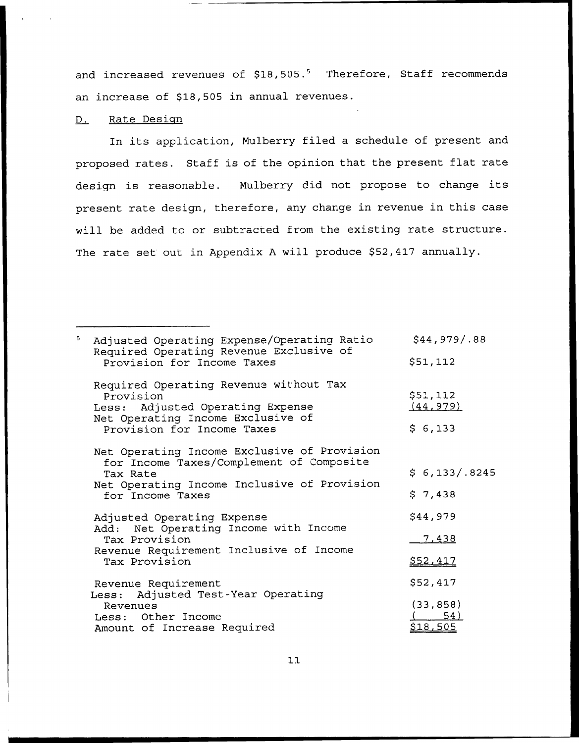and increased revenues of  $$18,505.^5$  Therefore, Staff recommends an increase of \$18,505 in annual revenues.

### D. Rate Design

In its application, Mulberry filed <sup>a</sup> schedule of present and proposed rates. Staff is of the opinion that the present flat rate design is reasonable. Mulberry did not propose to change its present rate design, therefore, any change in revenue in this case will be added to or subtracted from the existing rate structure. The rate set out in Appendix A will produce \$52,417 annually.

Adjusted Operating Expense/Operating Ratio Required Operating Revenue Exclusive of Provision for Income Taxes  $$44,979/.88$ \$ 51,112 Required Operating Revenue without Tax Provision<br>Less: Adju Adjusted Operating Expense Net Operating Income Exclusive of Provision for Income Taxes \$ 51, 112 (44,979)  $$6,133$ Net Operating Income Exclusive of Provision for Income Taxes/Complement of Composite Tax Rate Net Operating Income Inclusive of Provision for Income Taxes Adjusted Operating Expense Add: Net Operating Income with Income Tax Provision Revenue Requirement Inclusive of Income Tax Provision Revenue Requirement Less: Adjusted Test-Year Operating Revenues Less: Other Income Amount of Increase Required  $$6, 133/.8245$  $$7,438$ \$44,979 7,438 852,417 \$ 52,417 (33, 858) ( 54) 818,505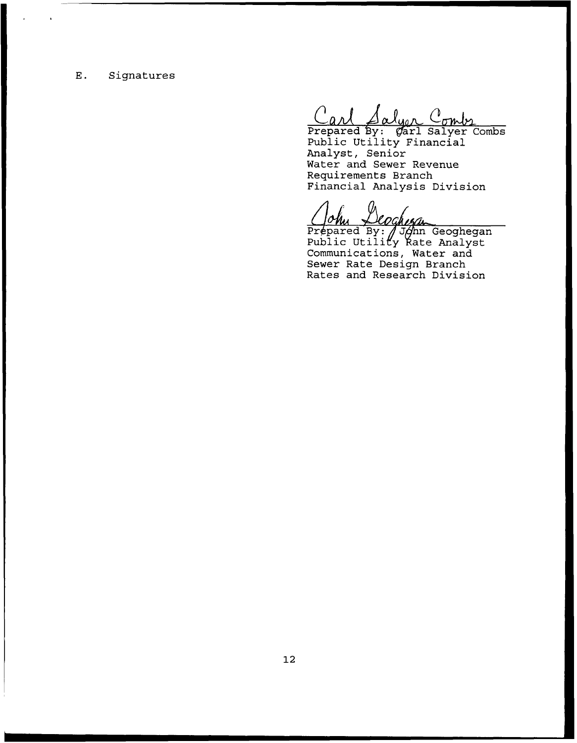# E. Signatures

Prepared By: Carl Salyer Combs Public Utility Financia Analyst, Senior Water and Sewer Revenue Requirements Branch Financial Analysis Division

Prepared By: /John Geoghega Public Utility Rate Analys Communications, Water and Sewer Rate Design Branch Rates and Research Division